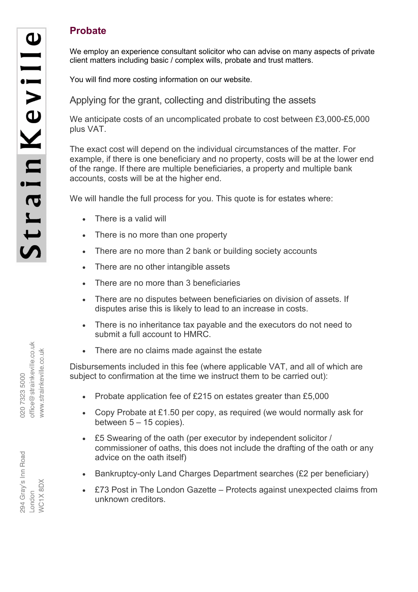## **Probate**

We employ an experience consultant solicitor who can advise on many aspects of private client matters including basic / complex wills, probate and trust matters.

You will find more costing information on our website.

Applying for the grant, collecting and distributing the assets

We anticipate costs of an uncomplicated probate to cost between £3,000-£5,000 plus VAT.

The exact cost will depend on the individual circumstances of the matter. For example, if there is one beneficiary and no property, costs will be at the lower end of the range. If there are multiple beneficiaries, a property and multiple bank accounts, costs will be at the higher end.

We will handle the full process for you. This quote is for estates where:

- There is a valid will
- There is no more than one property
- There are no more than 2 bank or building society accounts
- There are no other intangible assets
- There are no more than 3 beneficiaries
- There are no disputes between beneficiaries on division of assets. If disputes arise this is likely to lead to an increase in costs.
- There is no inheritance tax payable and the executors do not need to submit a full account to HMRC.
- There are no claims made against the estate

Disbursements included in this fee (where applicable VAT, and all of which are subject to confirmation at the time we instruct them to be carried out):

- Probate application fee of £215 on estates greater than £5,000
- Copy Probate at £1.50 per copy, as required (we would normally ask for between  $5 - 15$  copies).
- £5 Swearing of the oath (per executor by independent solicitor / commissioner of oaths, this does not include the drafting of the oath or any advice on the oath itself)
- Bankruptcy-only Land Charges Department searches (£2 per beneficiary)
- £73 Post in The London Gazette Protects against unexpected claims from unknown creditors.

office@strainkeville.co.uk www.strainkeville.co.uk 020 7323 5000

294 Gray's Inn Road **NC1X8DX** ndon